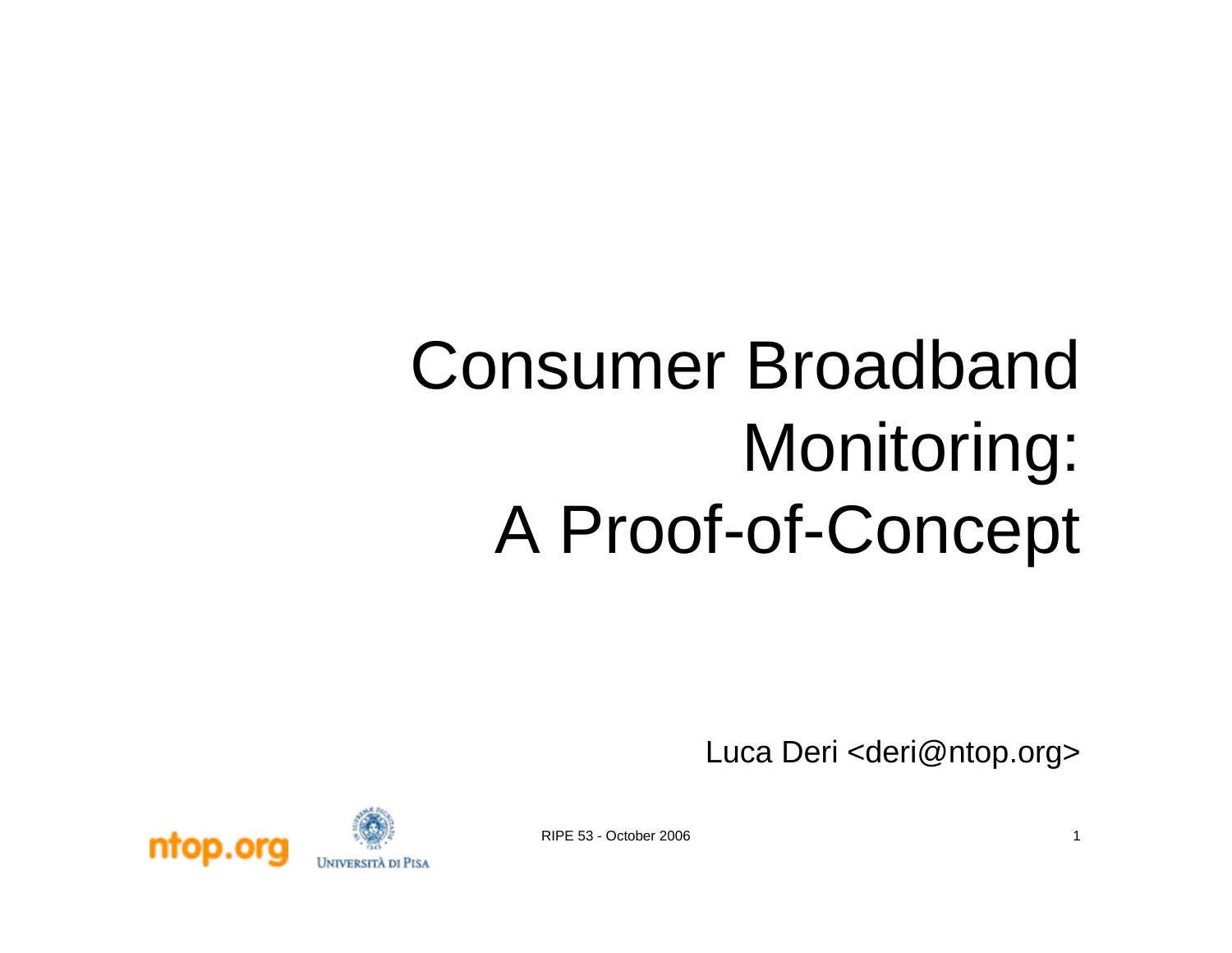### Consumer Broadband Monitoring: A Proof-of-Concept

Luca Deri <deri@ntop.org>



RIPE 53 - October 2006 1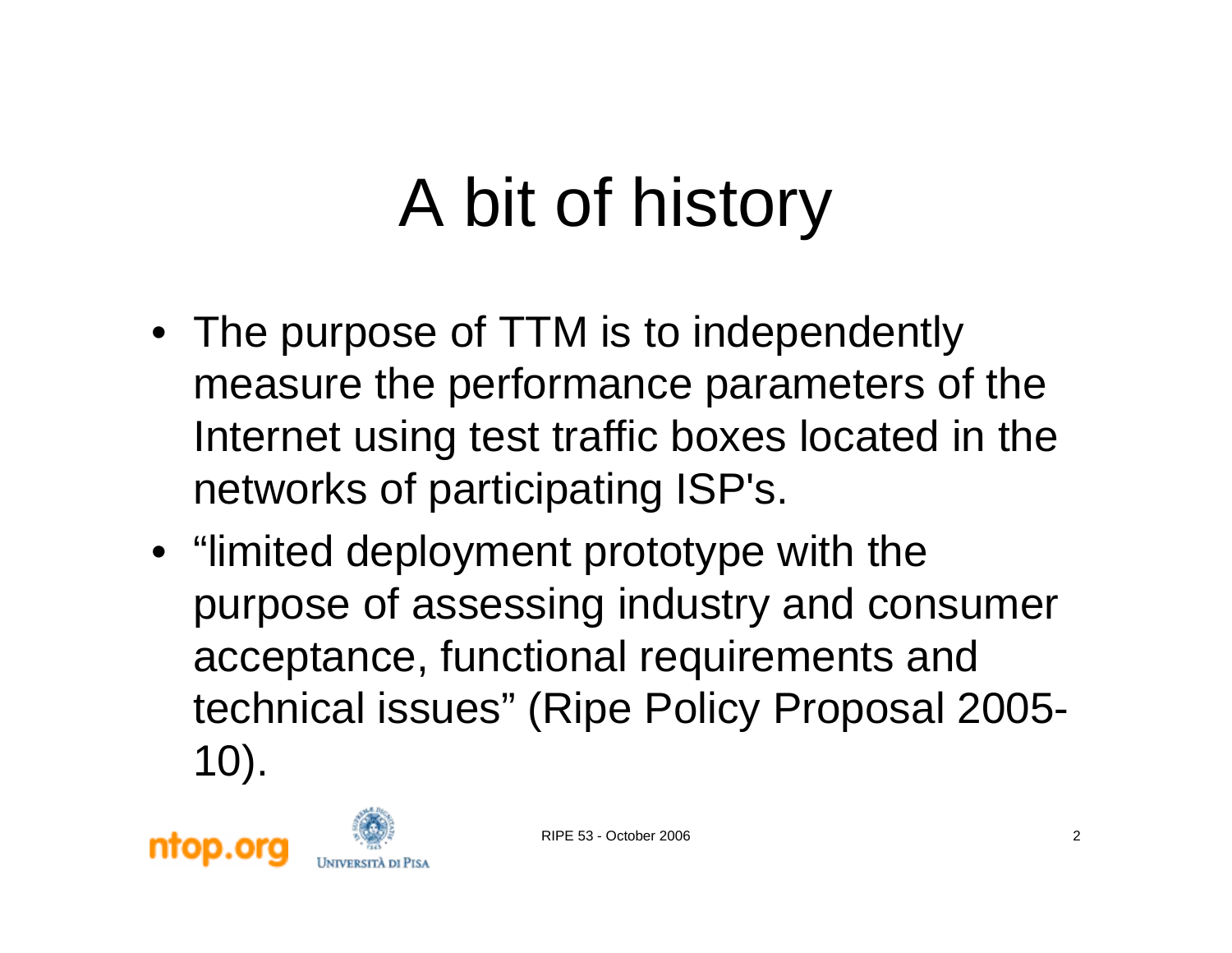### A bit of history

- The purpose of TTM is to independently measure the performance parameters of the Internet using test traffic boxes located in the networks of participating ISP's.
- "limited deployment prototype with the purpose of assessing industry and consumer acceptance, functional requirements and technical issues" (Ripe Policy Proposal 2005- 10).

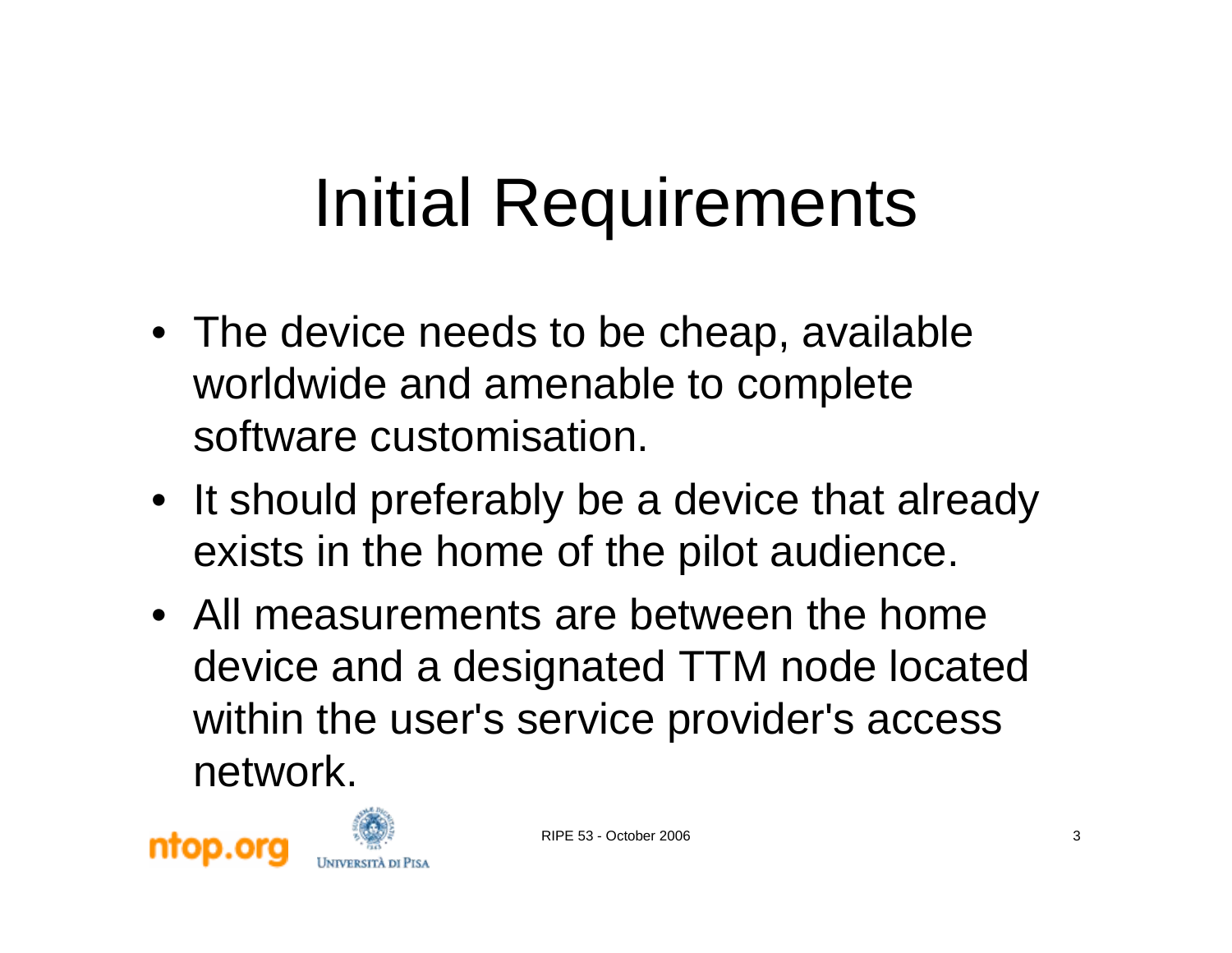#### Initial Requirements

- The device needs to be cheap, available worldwide and amenable to complete software customisation.
- It should preferably be a device that already exists in the home of the pilot audience.
- All measurements are between the home device and a designated TTM node located within the user's service provider's access network.



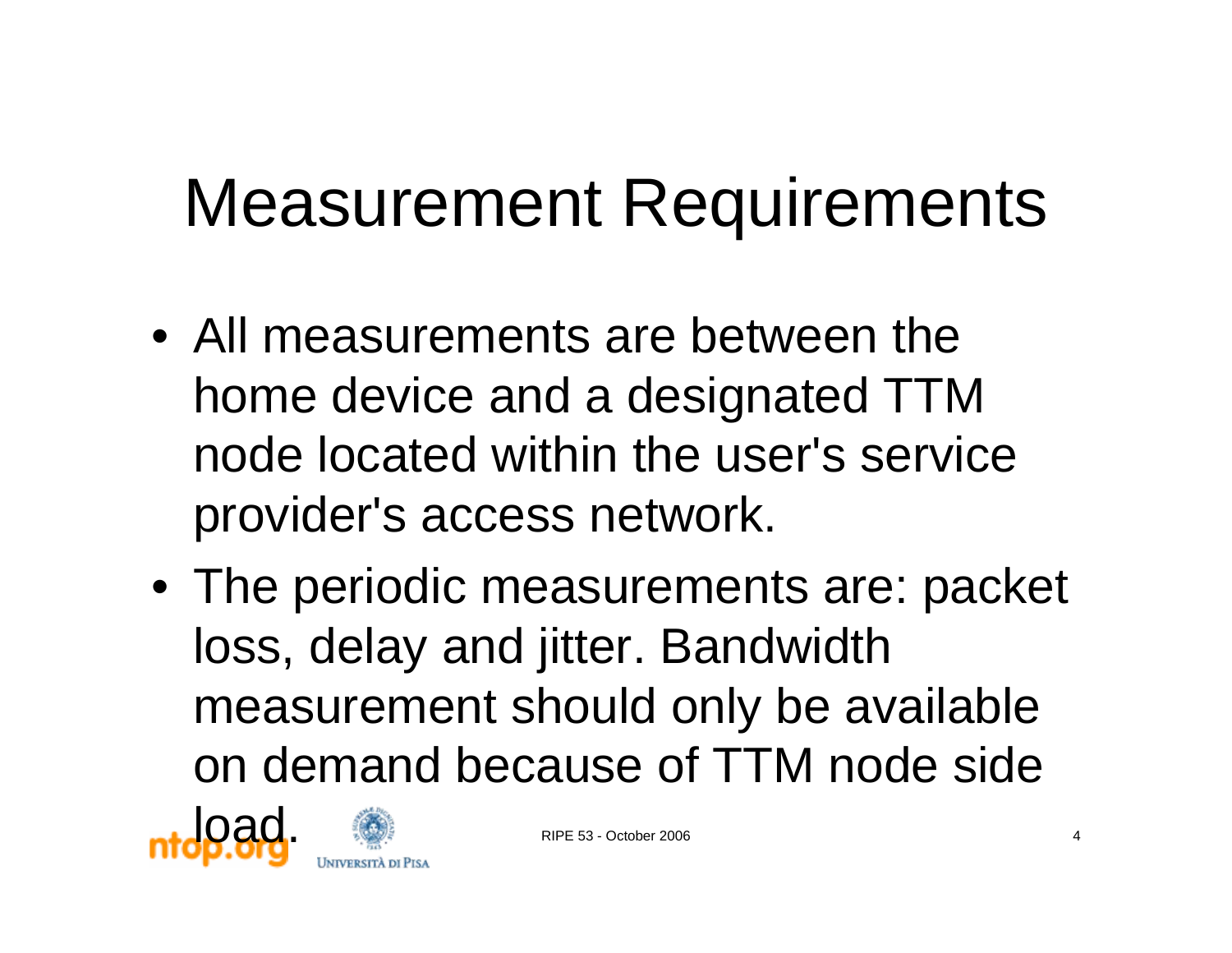#### Measurement Requirements

- All measurements are between the home device and a designated TTM node located within the user's service provider's access network.
- The periodic measurements are: packet loss, delay and jitter. Bandwidth measurement should only be available on demand because of TTM node side



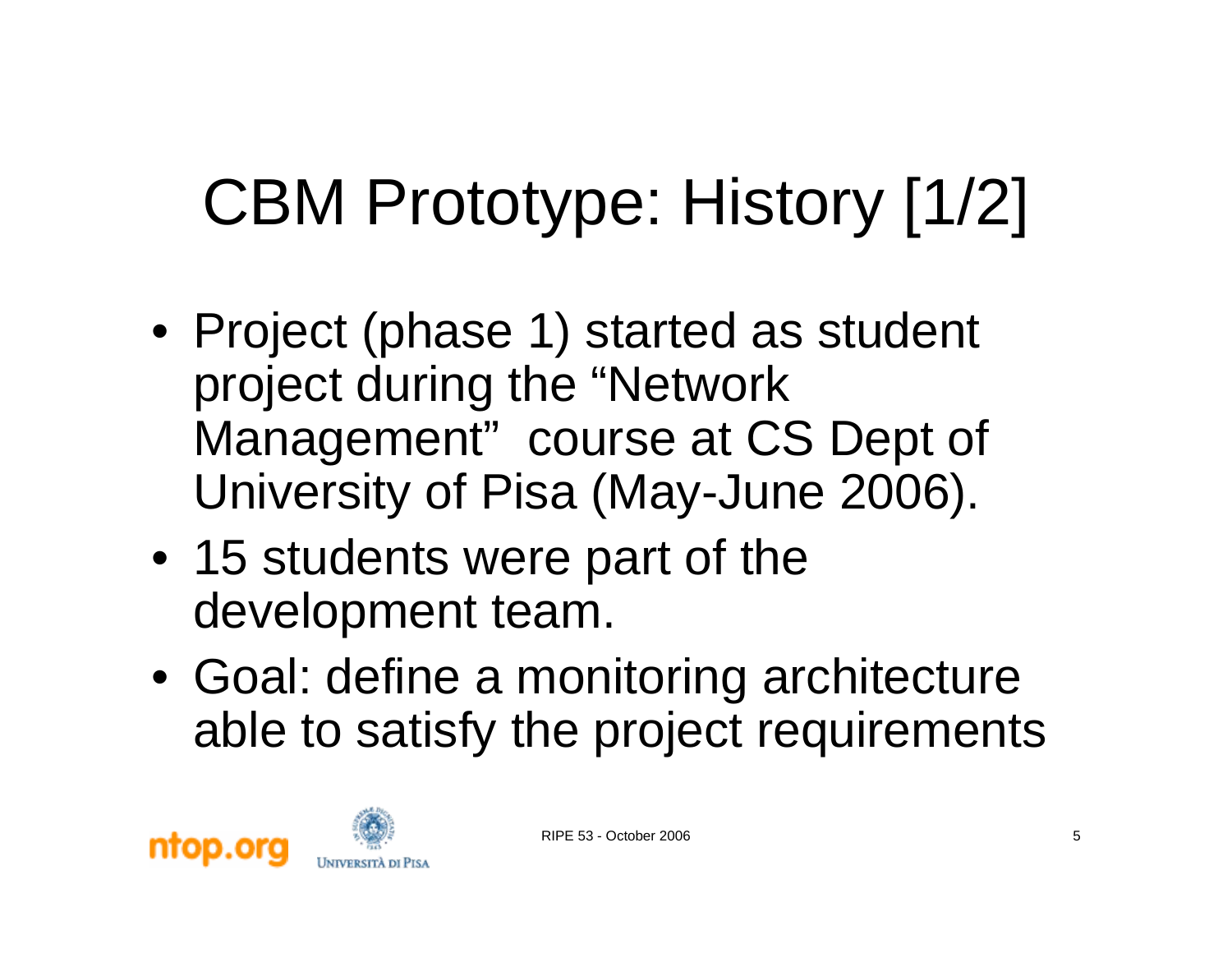### CBM Prototype: History [1/2]

- Project (phase 1) started as student project during the "Network Management" course at CS Dept of University of Pisa (May-June 2006).
- 15 students were part of the development team.
- Goal: define a monitoring architecture able to satisfy the project requirements



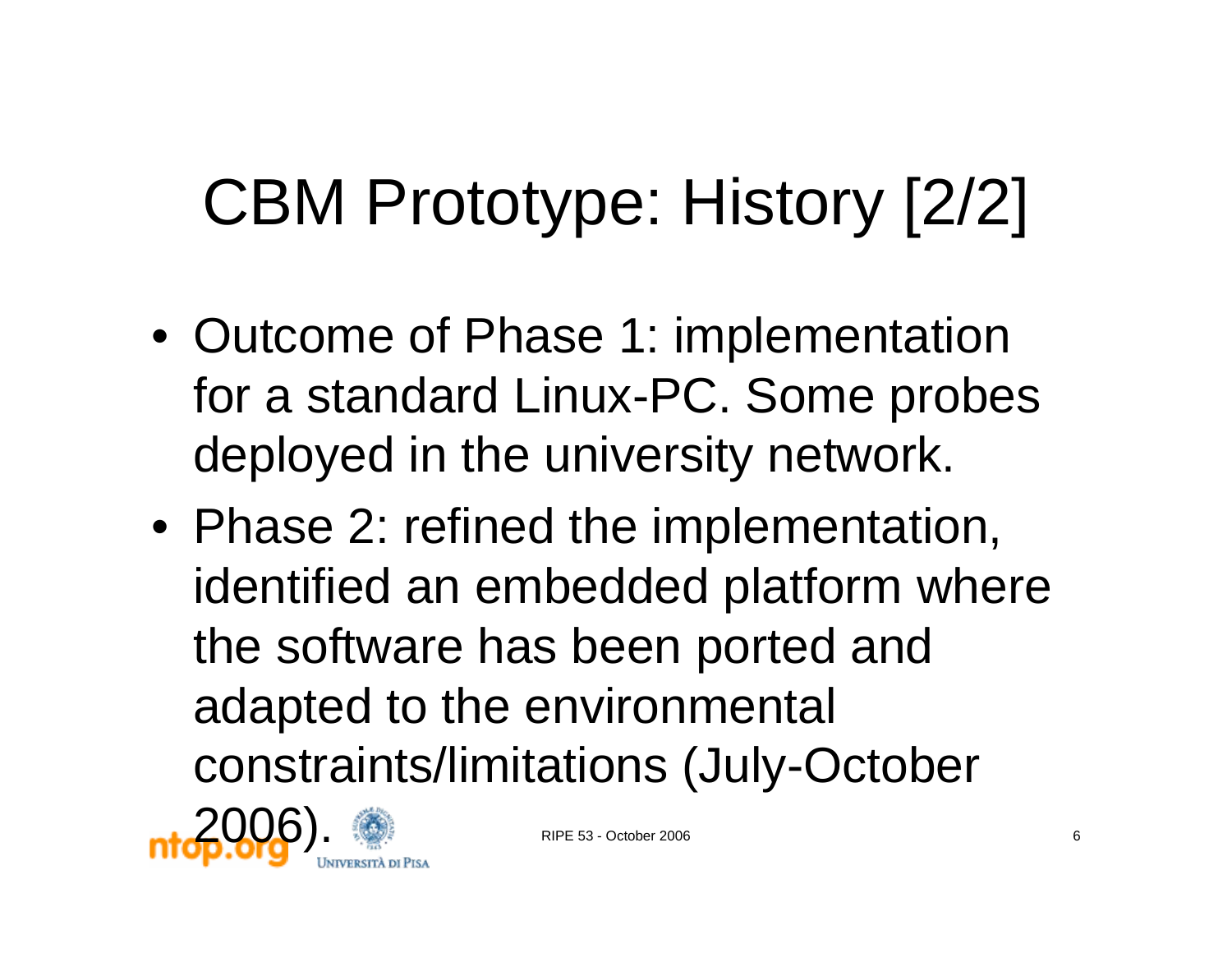#### CBM Prototype: History [2/2]

- Outcome of Phase 1: implementation for a standard Linux-PC. Some probes deployed in the university network.
- Phase 2: refined the implementation, identified an embedded platform where the software has been ported and adapted to the environmental constraints/limitations (July-October

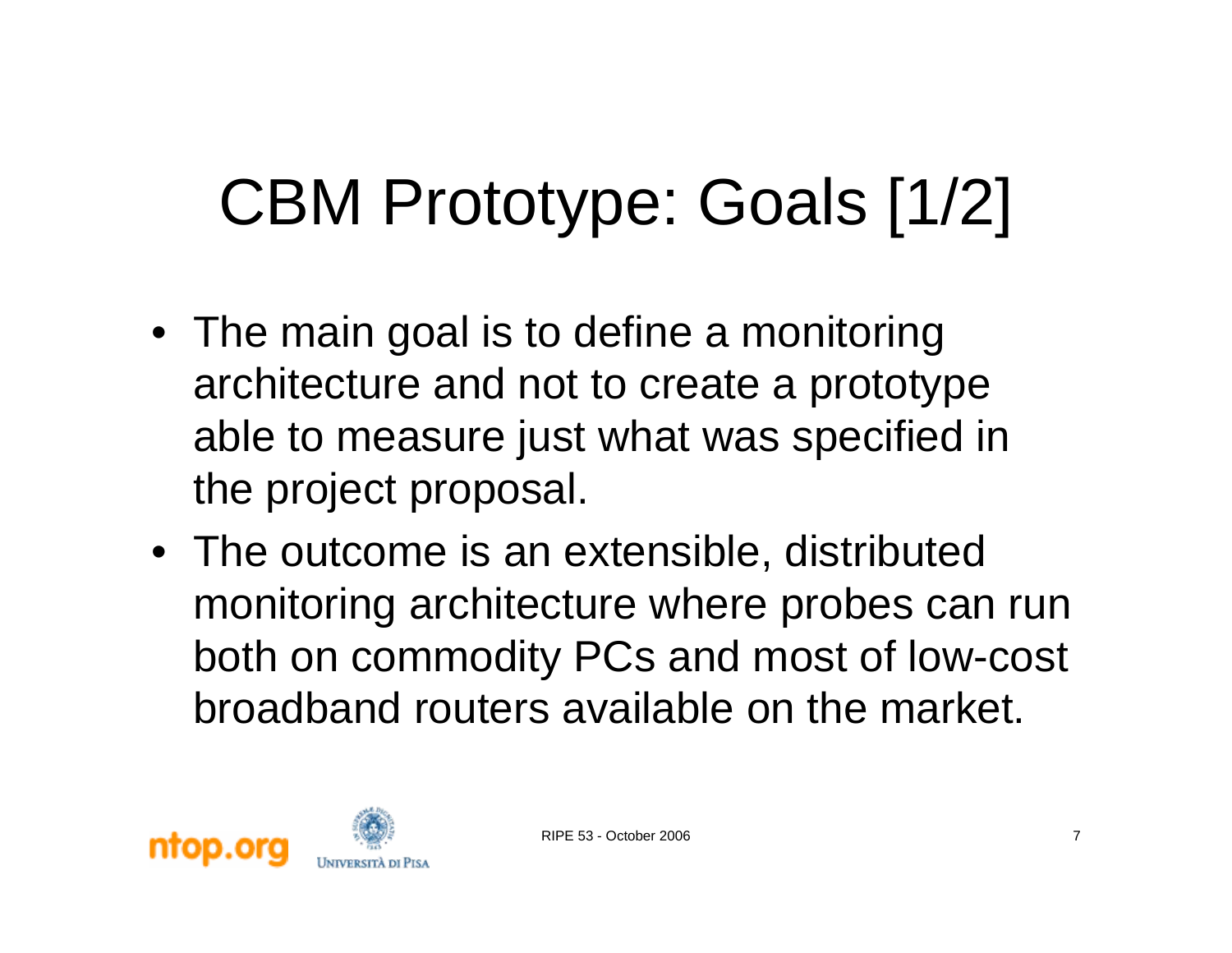### CBM Prototype: Goals [1/2]

- The main goal is to define a monitoring architecture and not to create a prototype able to measure just what was specified in the project proposal.
- The outcome is an extensible, distributed monitoring architecture where probes can run both on commodity PCs and most of low-cost broadband routers available on the market.

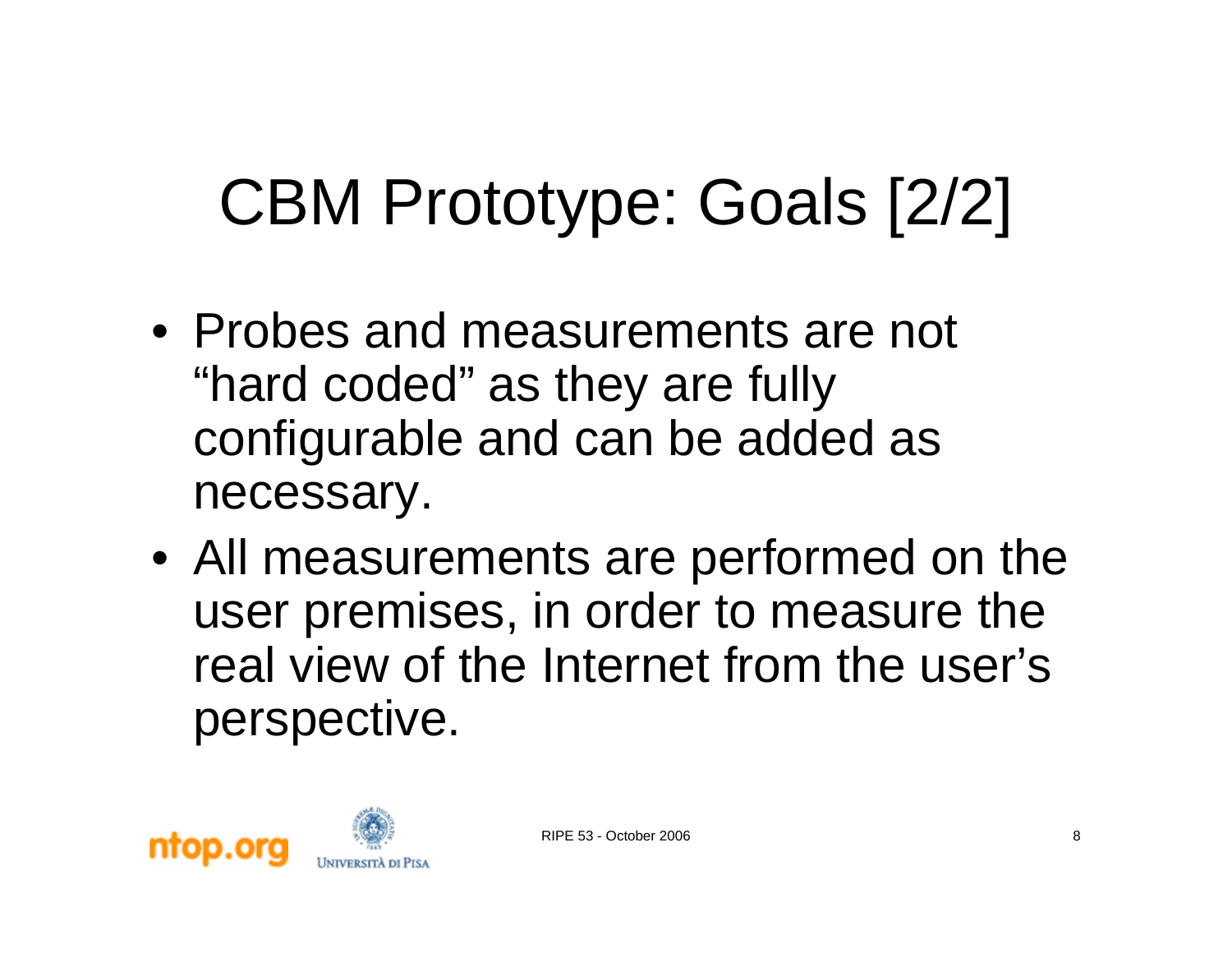#### CBM Prototype: Goals [2/2]

- Probes and measurements are not "hard coded" as they are fully configurable and can be added as necessary.
- All measurements are performed on the user premises, in order to measure the real view of the Internet from the user's perspective.

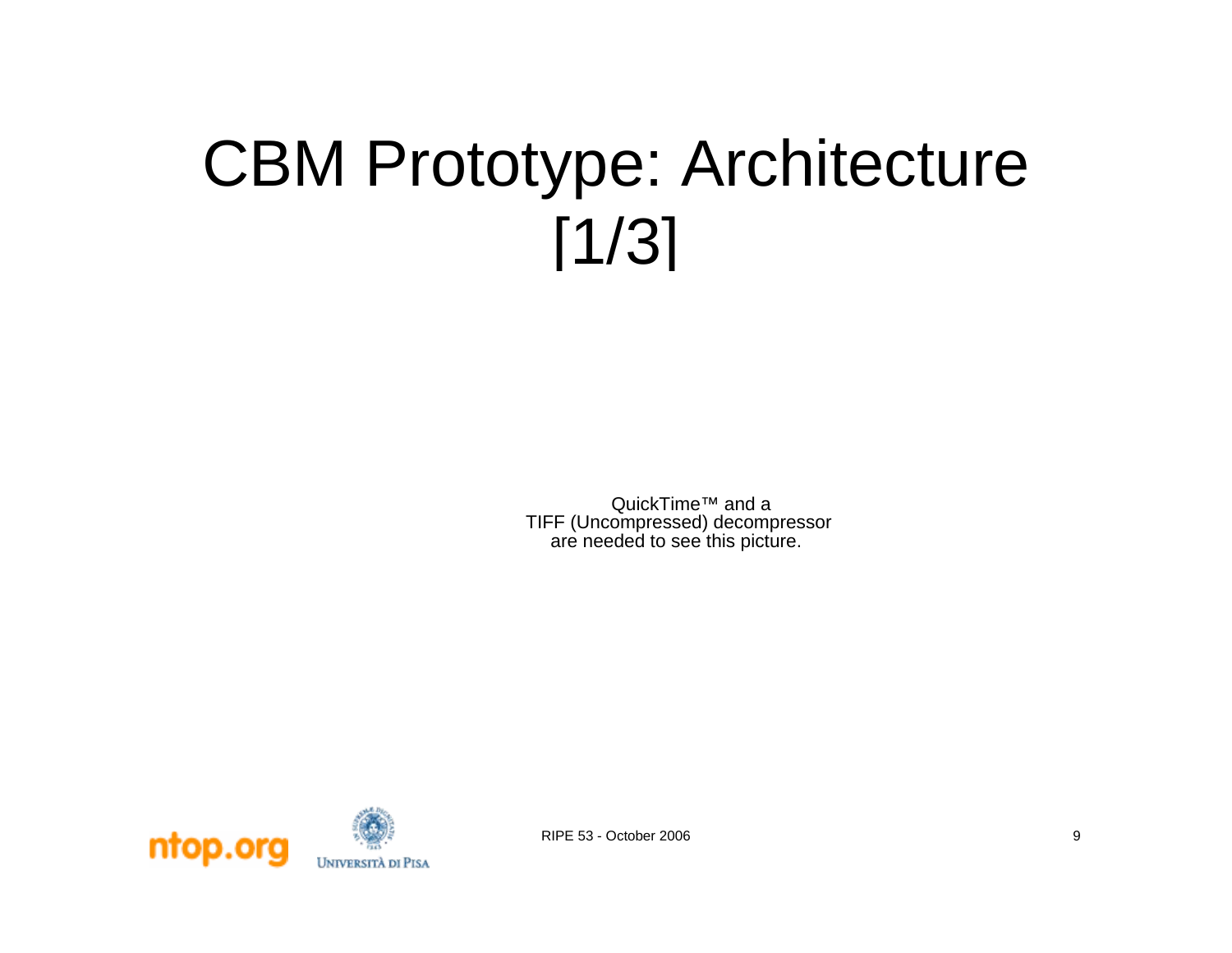#### CBM Prototype: Architecture [1/3]

QuickTime™ and a TIFF (Uncompressed) decompressor are needed to see this picture.

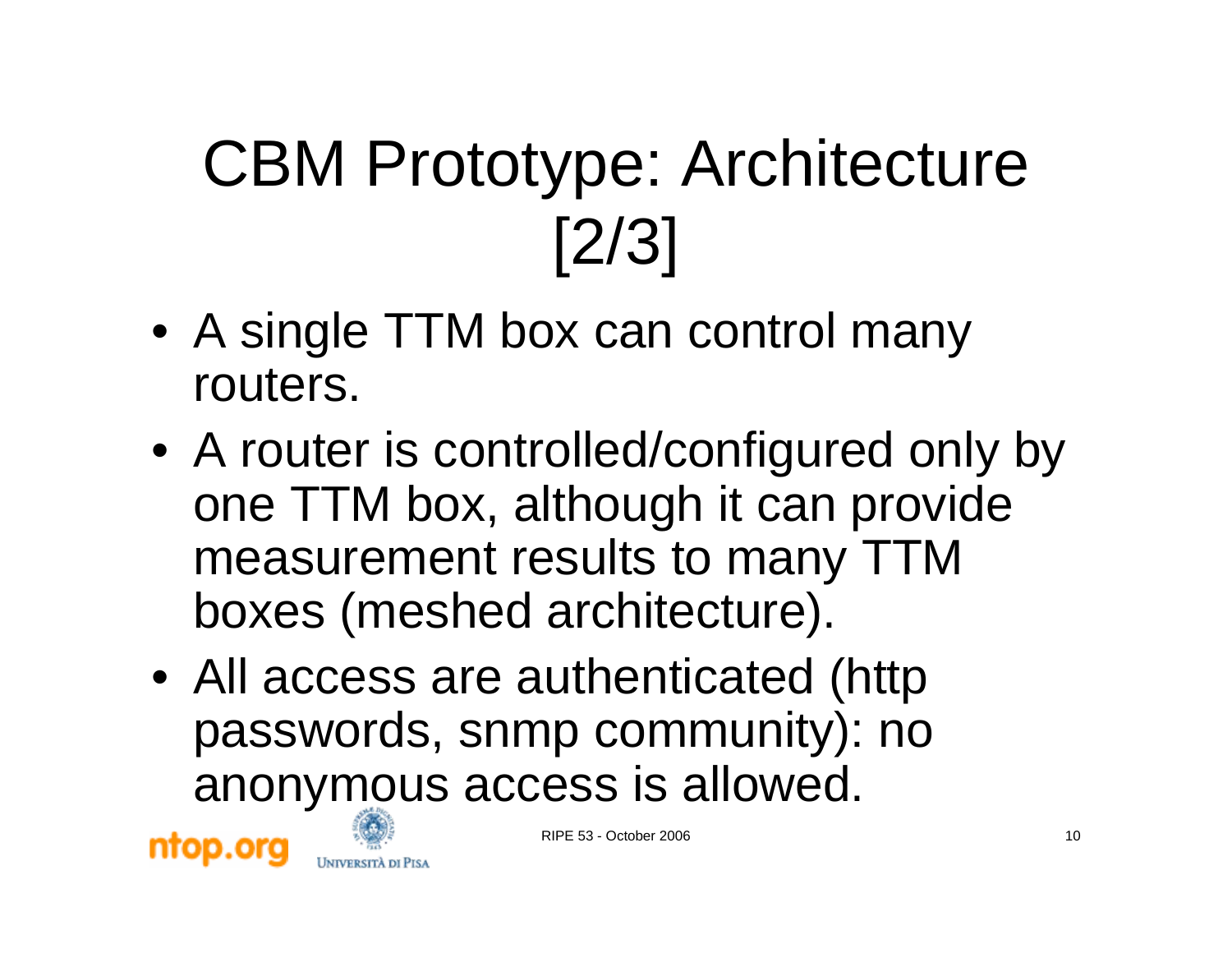### CBM Prototype: Architecture [2/3]

- A single TTM box can control many routers.
- A router is controlled/configured only by one TTM box, although it can provide measurement results to many TTM boxes (meshed architecture).
- All access are authenticated (http passwords, snmp community): no anonymous access is allowed.



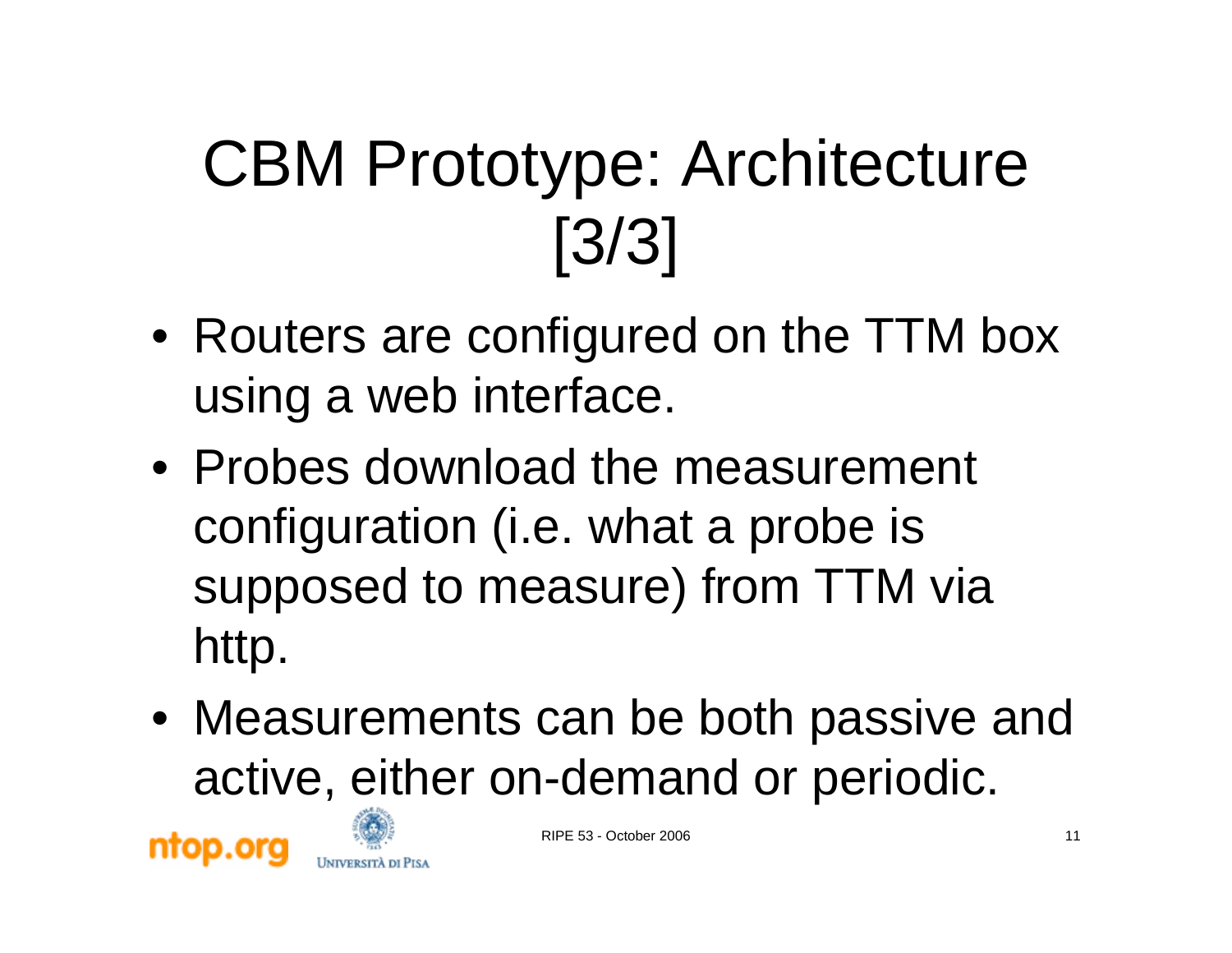### CBM Prototype: Architecture [3/3]

- Routers are configured on the TTM box using a web interface.
- Probes download the measurement configuration (i.e. what a probe is supposed to measure) from TTM via http.
- Measurements can be both passive and active, either on-demand or periodic.





RIPE 53 - October 2006 11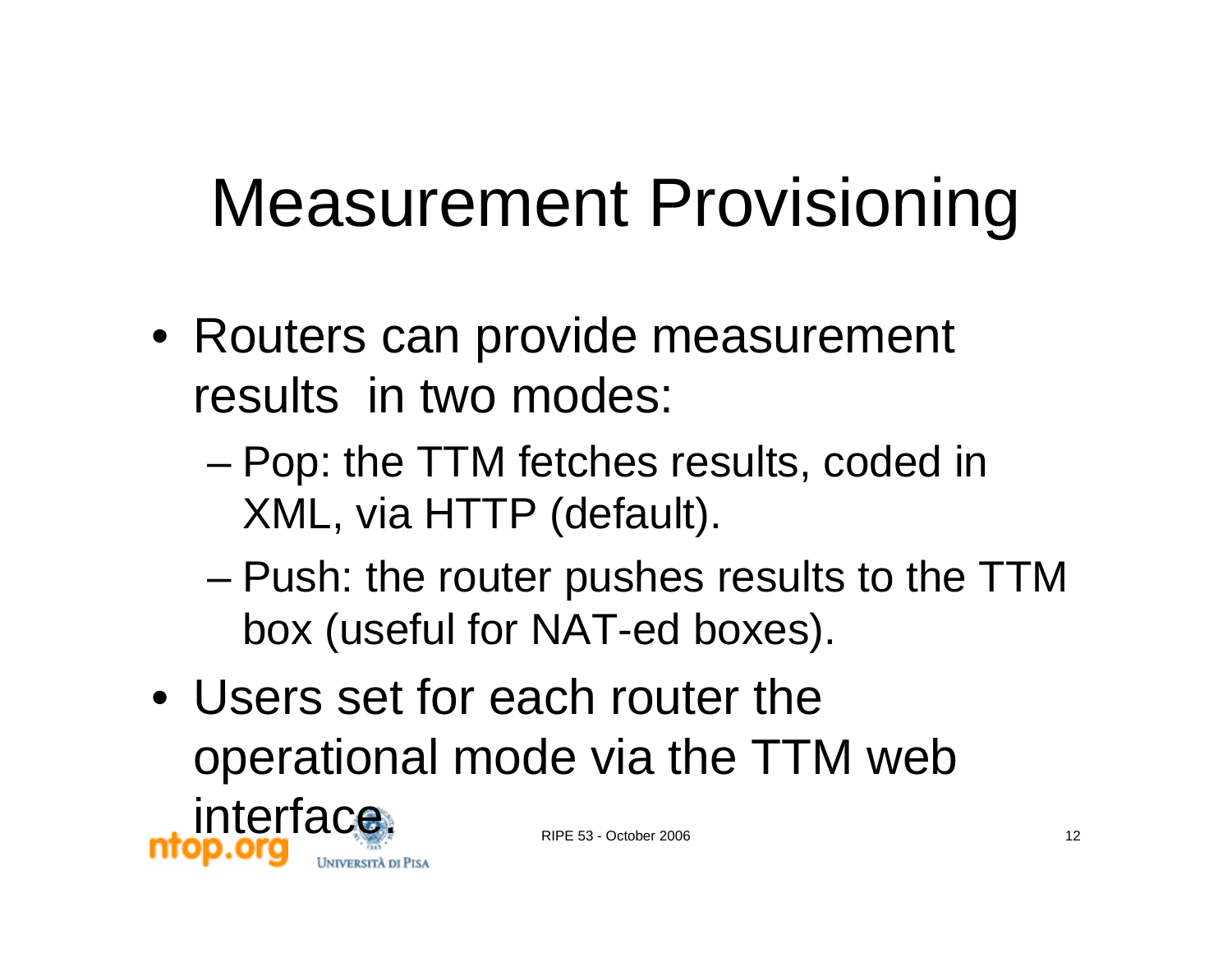#### Measurement Provisioning

- Routers can provide measurement results in two modes:
	- and the state of the state Pop: the TTM fetches results, coded in XML, via HTTP (default).
	- – Push: the router pushes results to the TTM box (useful for NAT-ed boxes).
- Users set for each router the operational mode via the TTM web interface.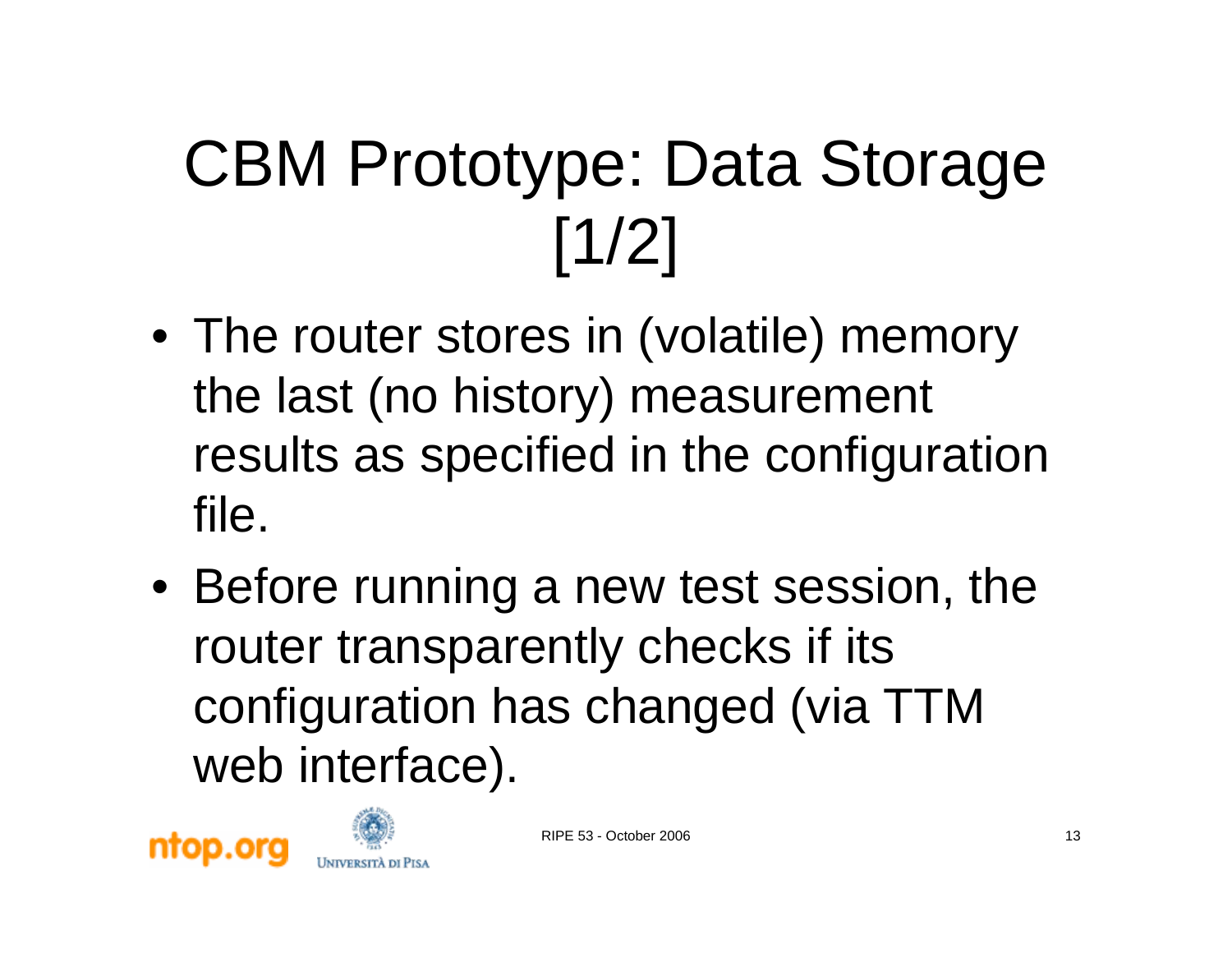## CBM Prototype: Data Storage [1/2]

- The router stores in (volatile) memory the last (no history) measurement results as specified in the configuration file.
- Before running a new test session, the router transparently checks if its configuration has changed (via TTM web interface).





RIPE 53 - October 2006 13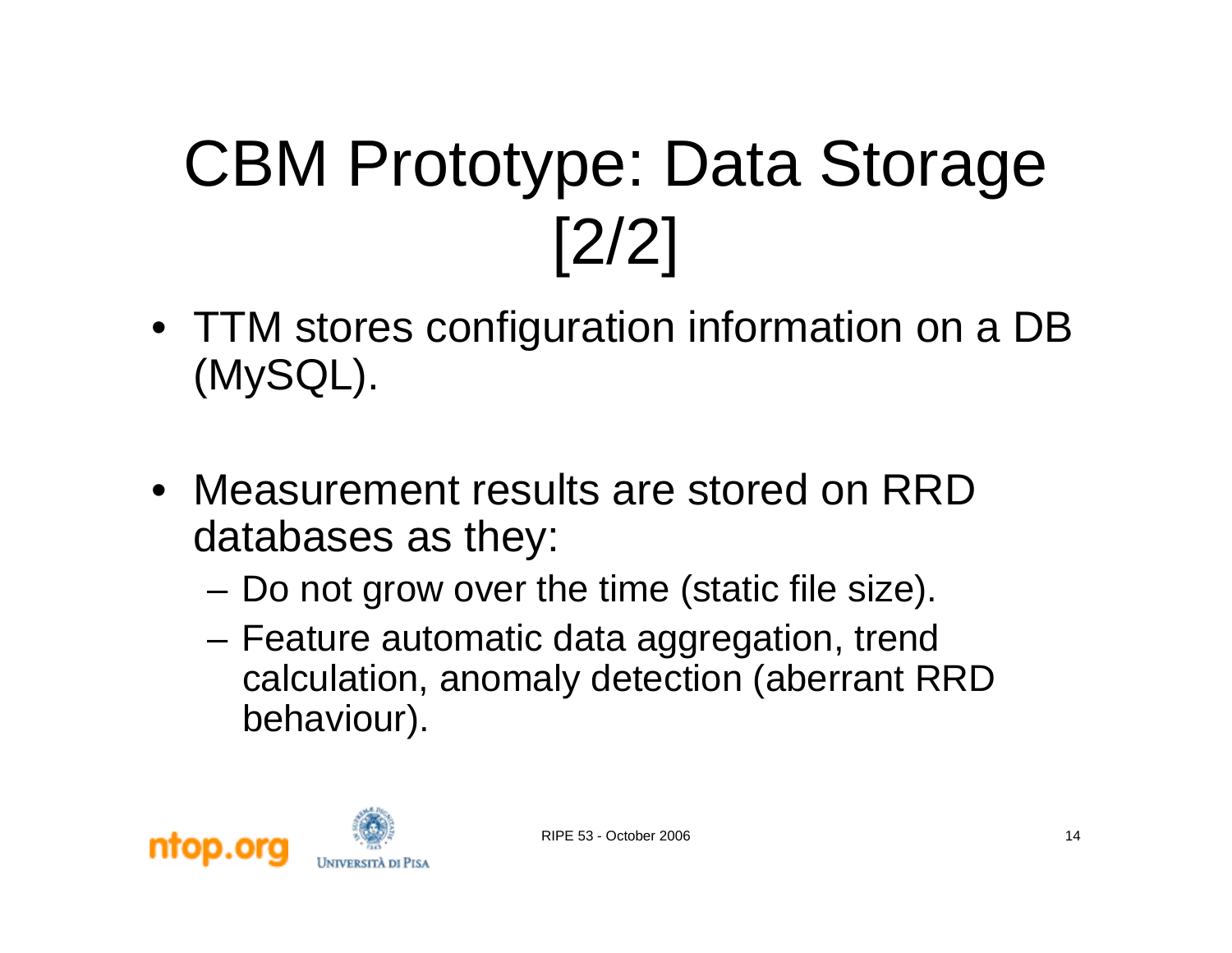### CBM Prototype: Data Storage [2/2]

- TTM stores configuration information on a DB (MySQL).
- Measurement results are stored on RRD databases as they:
	- and the state of the Do not grow over the time (static file size).
	- – Feature automatic data aggregation, trend calculation, anomaly detection (aberrant RRD behaviour).

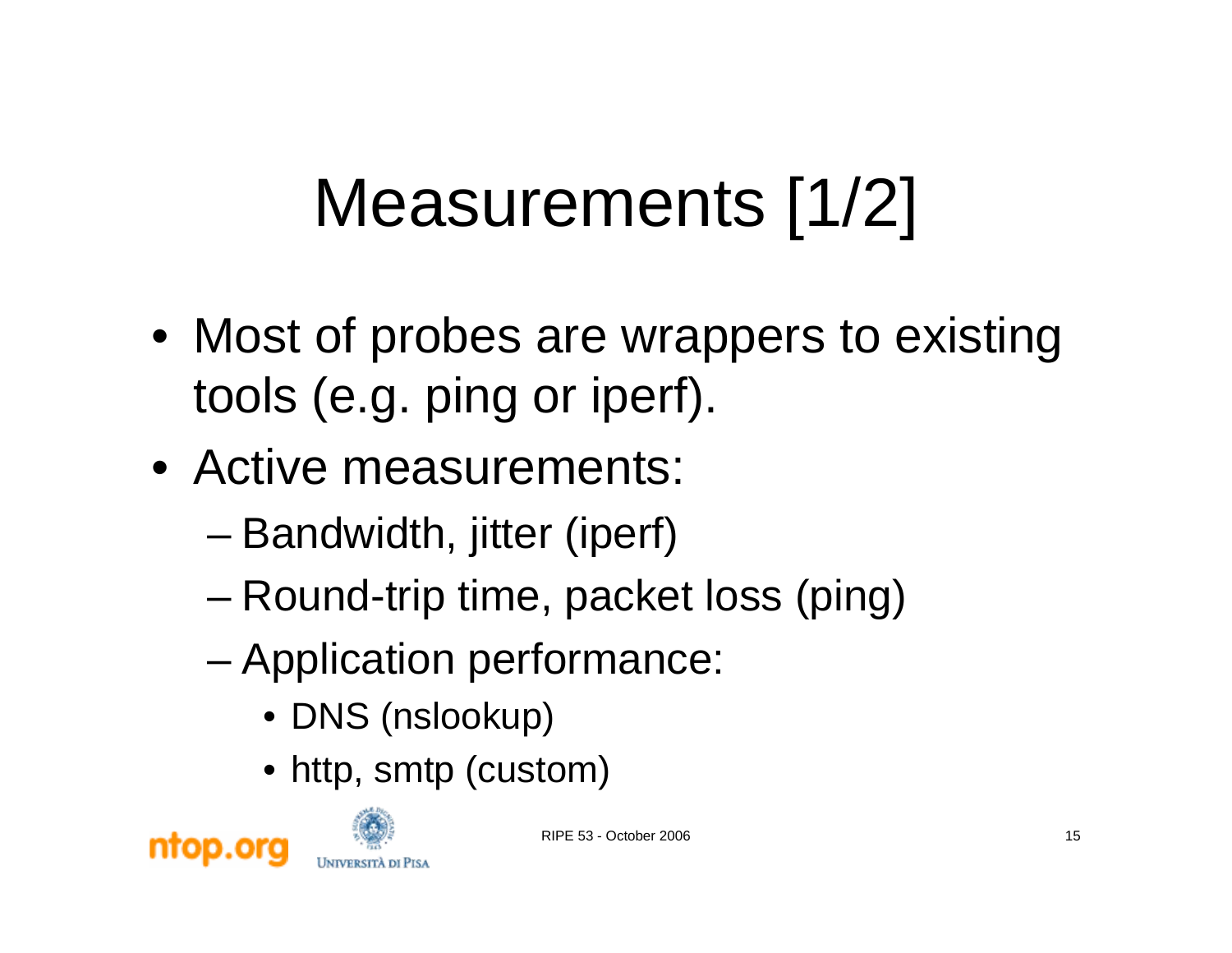### Measurements [1/2]

- Most of probes are wrappers to existing tools (e.g. ping or iperf).
- Active measurements:
	- –Bandwidth, jitter (iperf)
	- and the state of the state Round-trip time, packet loss (ping)
	- and the state of the state Application performance:
		- DNS (nslookup)
		- http, smtp (custom)



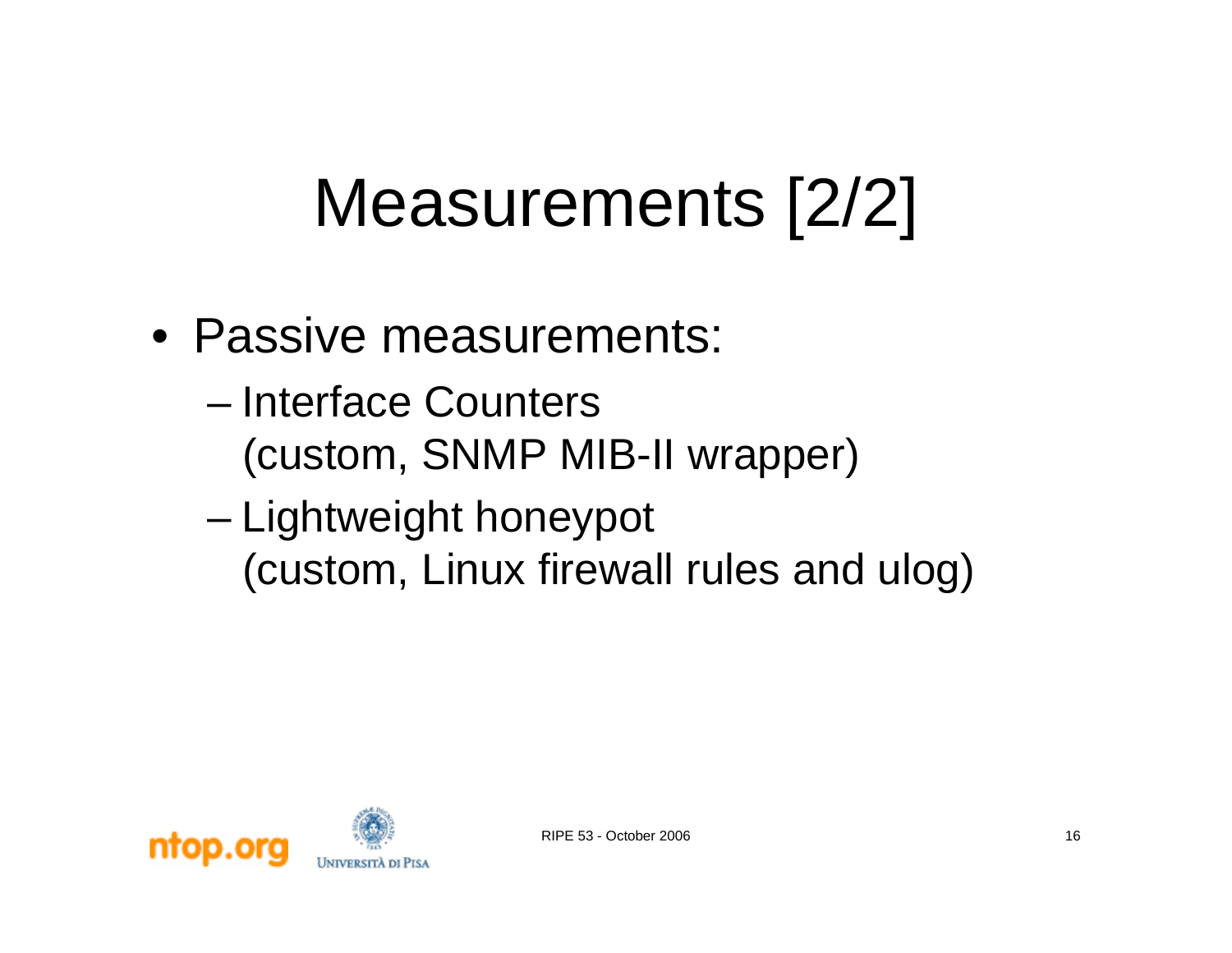#### Measurements [2/2]

- Passive measurements:
	- Interface Counters (custom, SNMP MIB-II wrapper)
	- and the state of the state Lightweight honeypot (custom, Linux firewall rules and ulog)

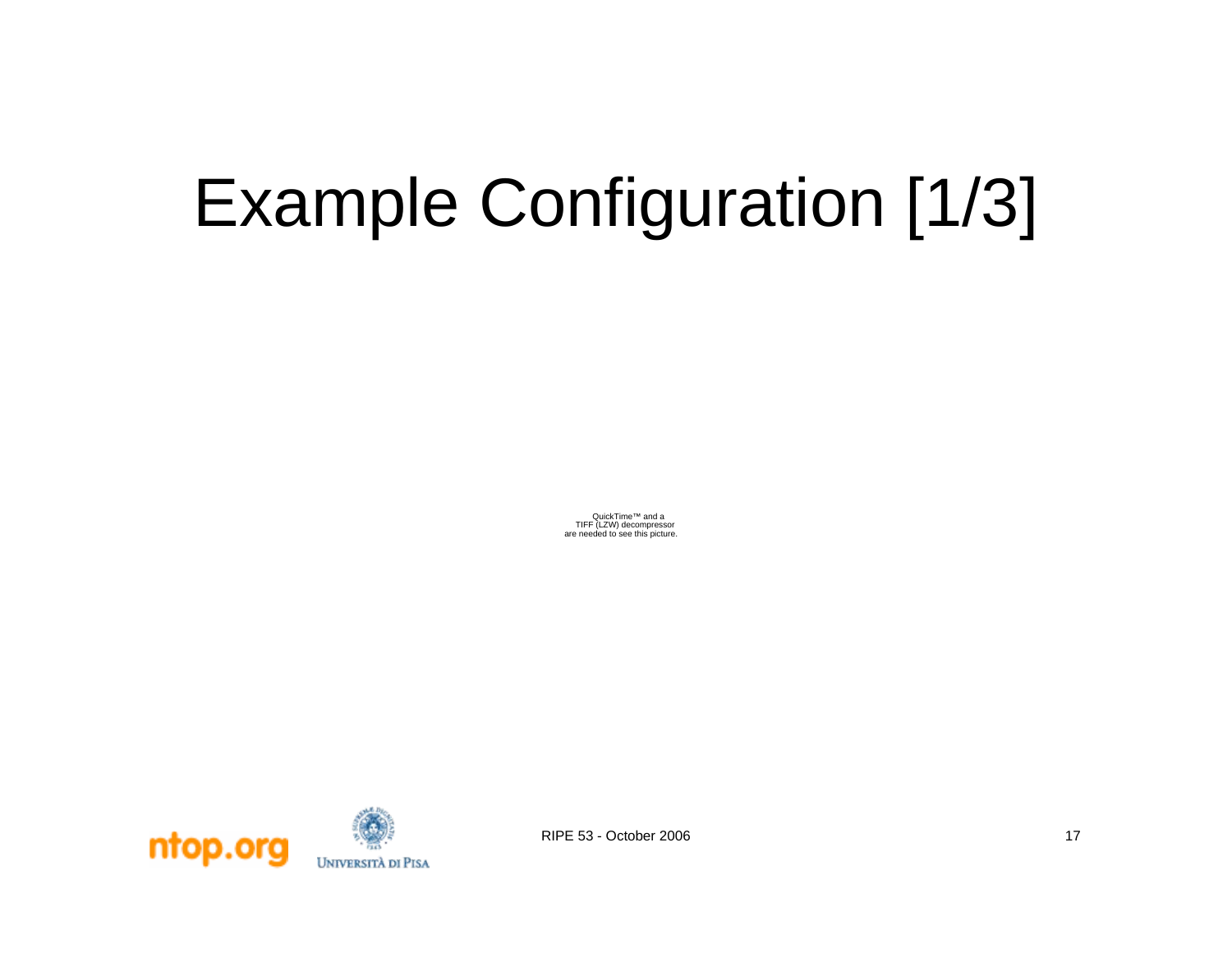## Example Configuration [1/3]

QuickTime™ and a TIFF (LZW) decompressor are needed to see this picture.

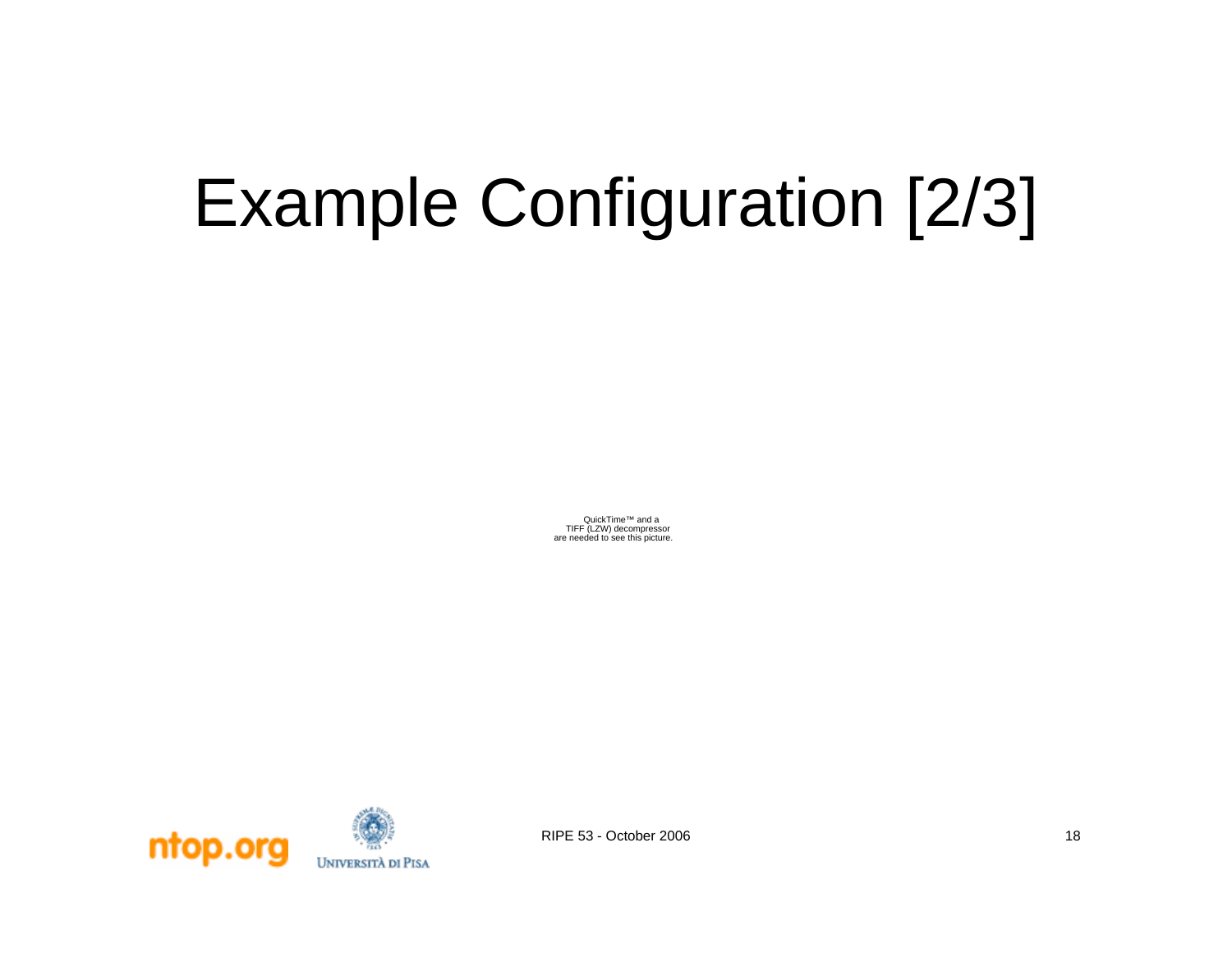## Example Configuration [2/3]

QuickTime™ and a TIFF (LZW) decompressor are needed to see this picture.

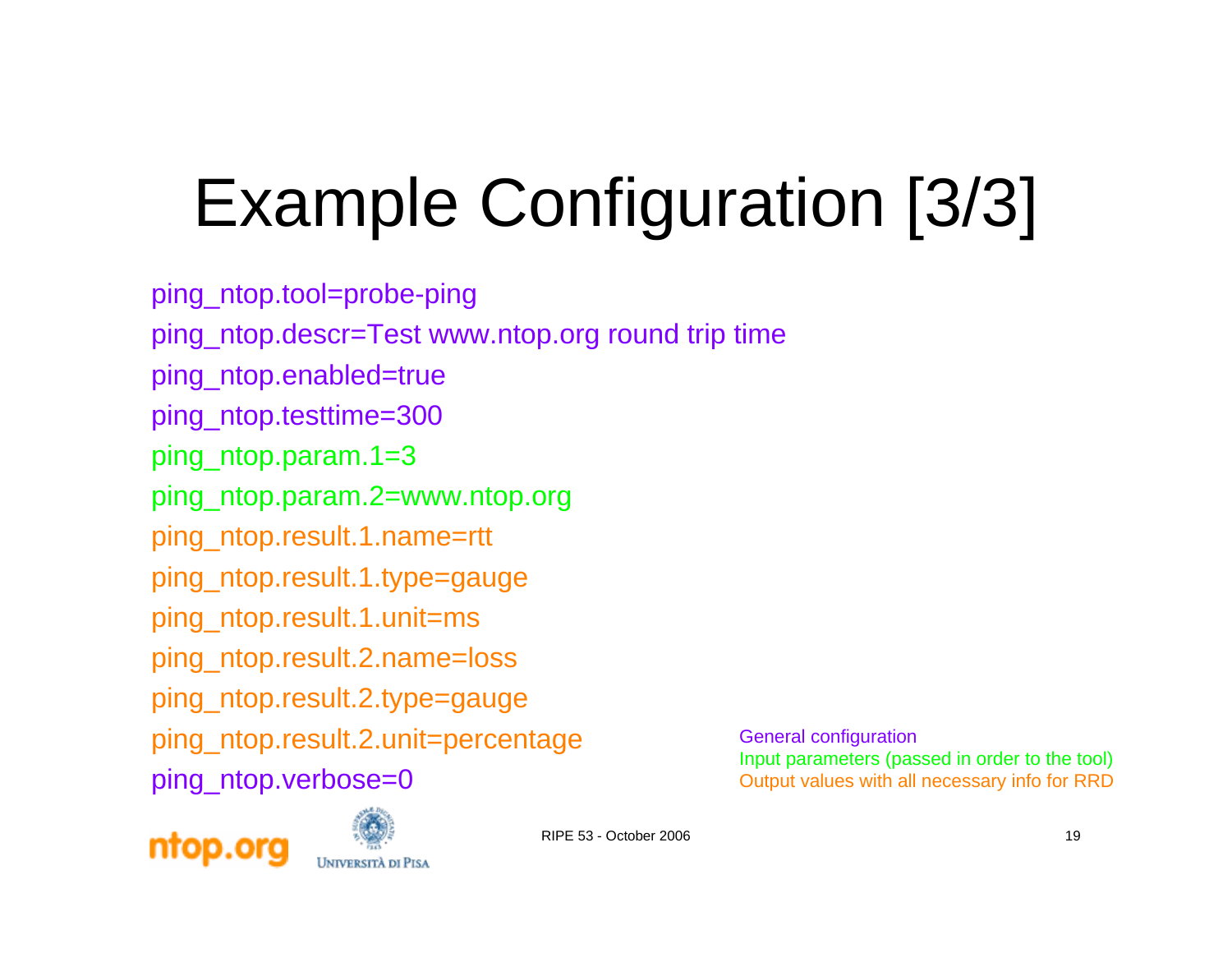# Example Configuration [3/3]

ping\_ntop.tool=probe-ping ping\_ntop.descr=Test www.ntop.org round trip time ping\_ntop.enabled=true ping\_ntop.testtime=300 ping\_ntop.param.1=3 ping\_ntop.param.2=www.ntop.org ping\_ntop.result.1.name=rtt ping\_ntop.result.1.type=gauge ping\_ntop.result.1.unit=ms ping\_ntop.result.2.name=loss ping\_ntop.result.2.type=gauge ping\_ntop.result.2.unit=percentage ping ntop.verbose=0

General configuration Input parameters (passed in order to the tool) Output values with all necessary info for RRD



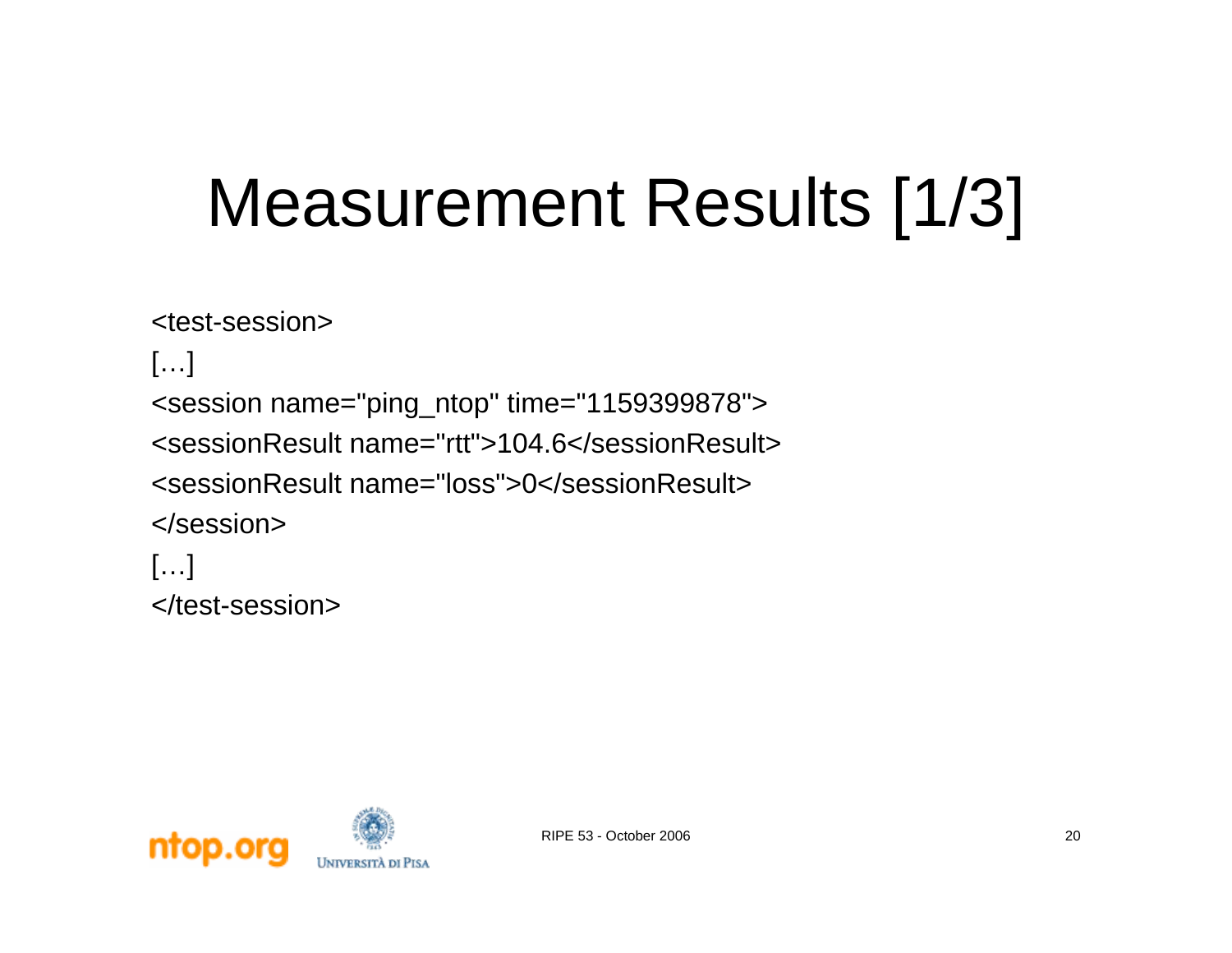### Measurement Results [1/3]

```
<test-session>[…]
<session name="ping_ntop" time="1159399878">
<sessionResult name="rtt">104.6</sessionResult><sessionResult name="loss">0</sessionResult></session>[…]
</test-session>
```
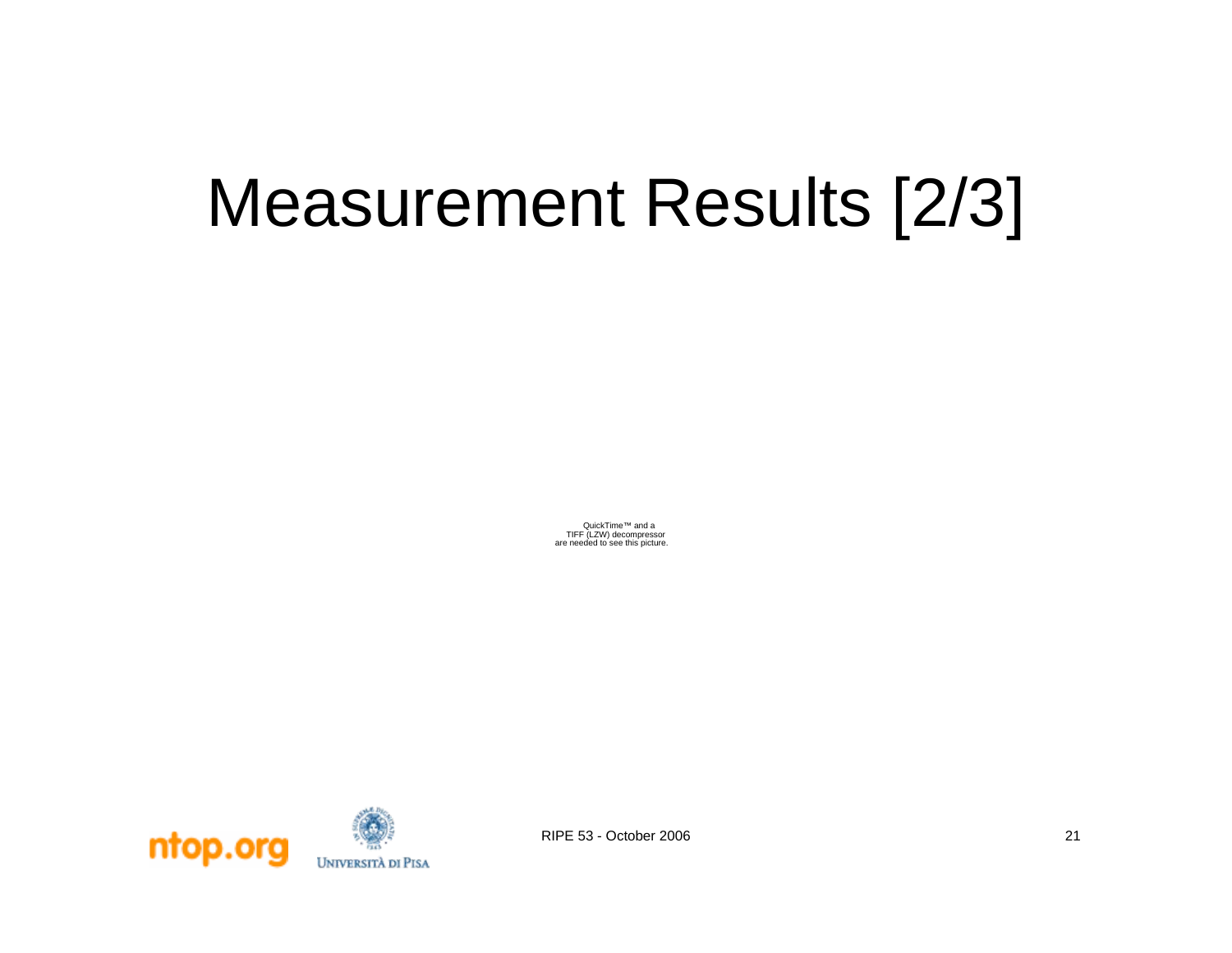#### Measurement Results [2/3]

QuickTime™ and a TIFF (LZW) decompressor are needed to see this picture.

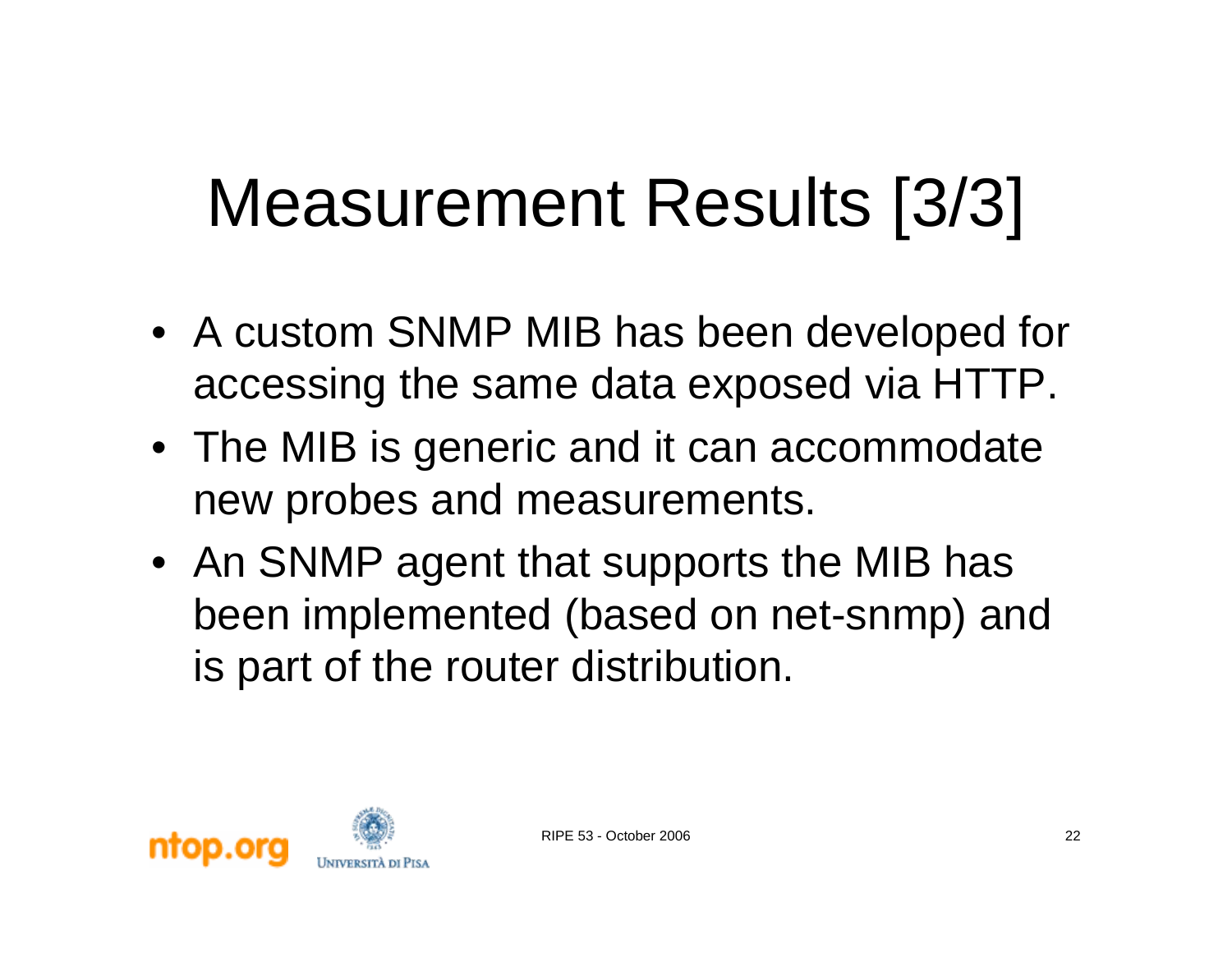### Measurement Results [3/3]

- A custom SNMP MIB has been developed for accessing the same data exposed via HTTP.
- The MIB is generic and it can accommodate new probes and measurements.
- An SNMP agent that supports the MIB has been implemented (based on net-snmp) and is part of the router distribution.

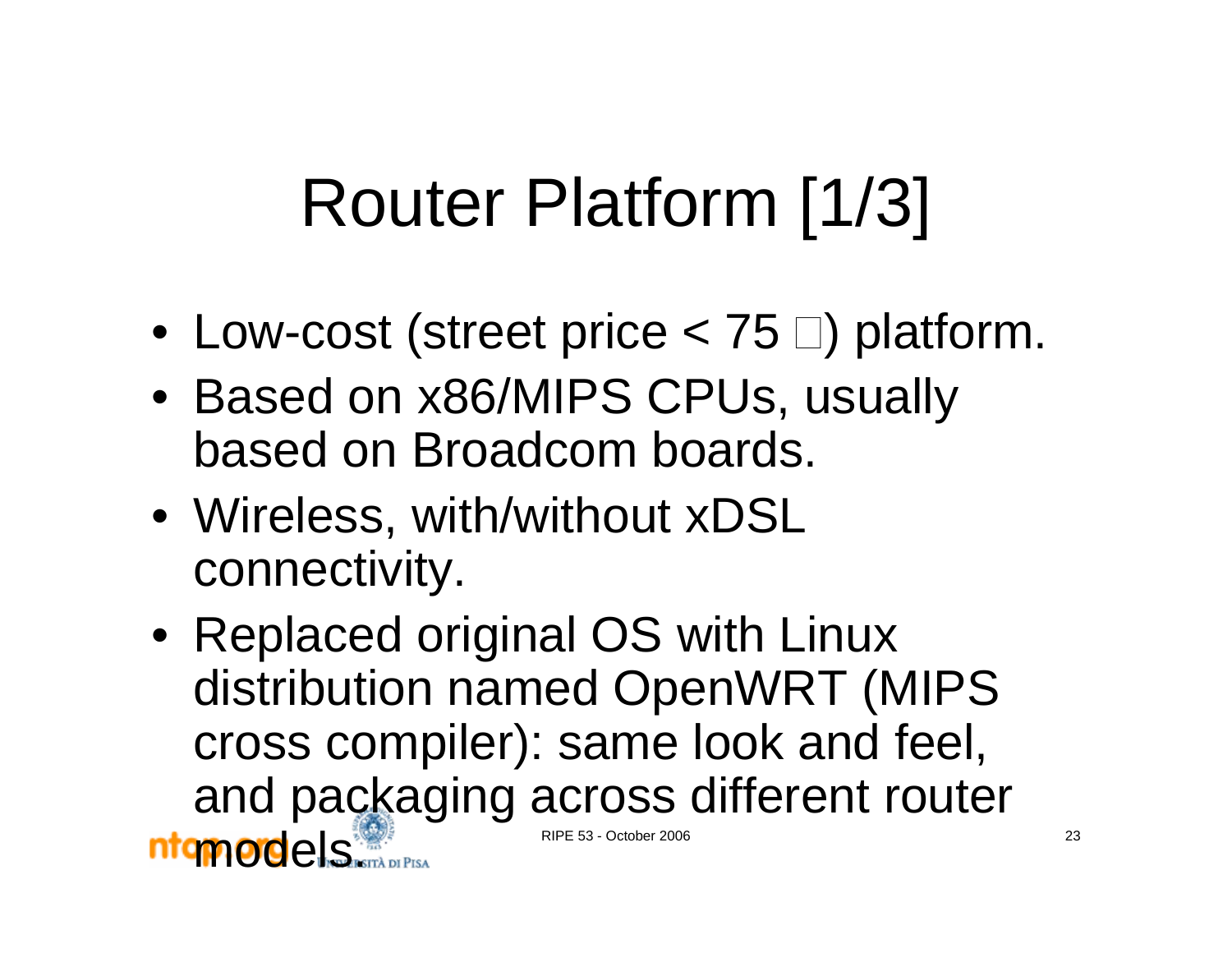### Router Platform [1/3]

- $\bullet\,$  Low-cost (street price  $< 75$   $\Box)$  platform.
- Based on x86/MIPS CPUs, usually based on Broadcom boards.
- Wireless, with/without xDSL connectivity.
- RIPE 53 October 2006 23 • Replaced original OS with Linux distribution named OpenWRT (MIPS cross compiler): same look and feel, and packaging across different router ntamordels.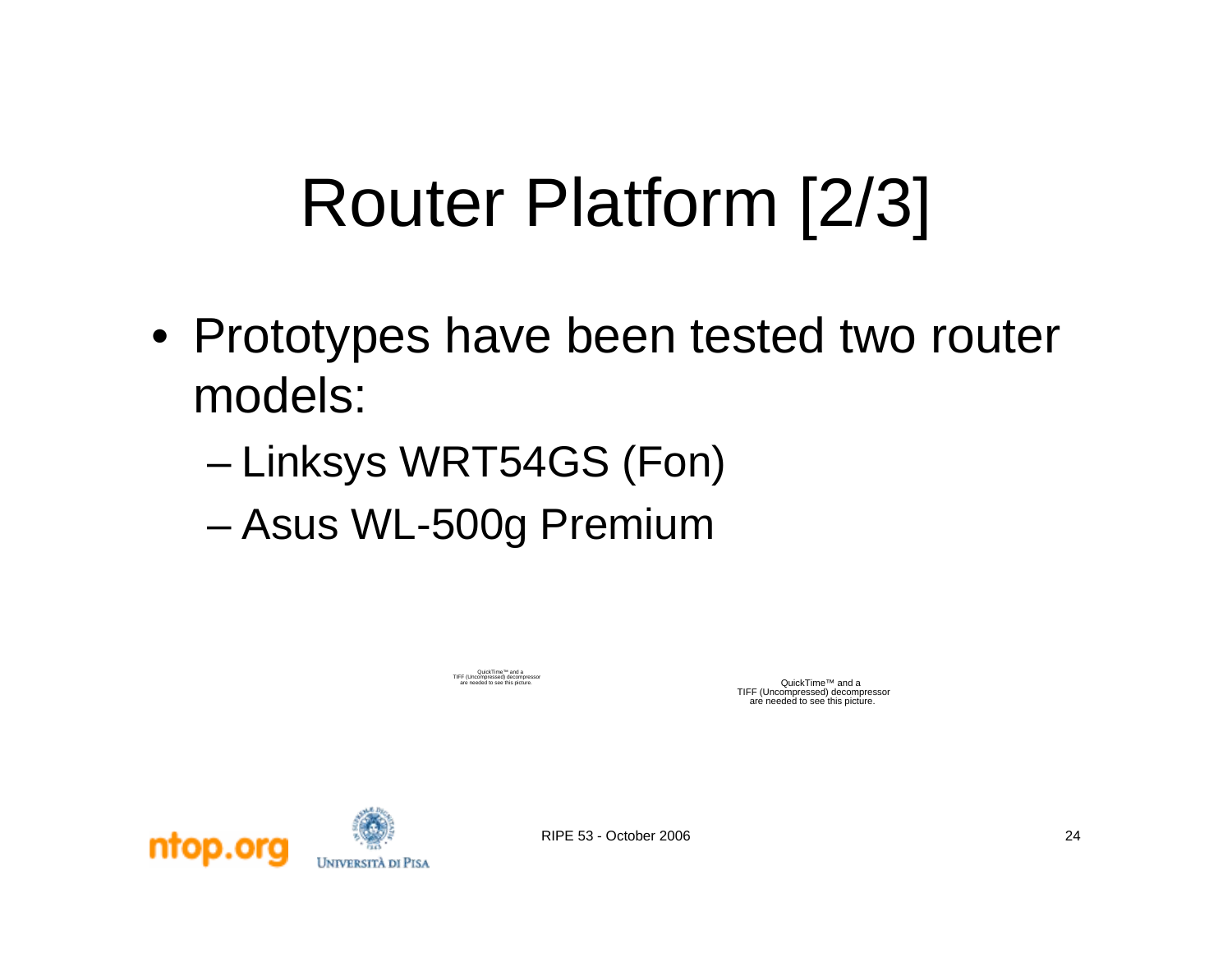#### Router Platform [2/3]

- Prototypes have been tested two router models:
	- and the state of the state Linksys WRT54GS (Fon)
	- –Asus WL-500g Premium

QuickTime™ and a TIFF (Uncompressed) decompressor

QuickTime™ and a TIFF (Uncompressed) decompressor are needed to see this picture.

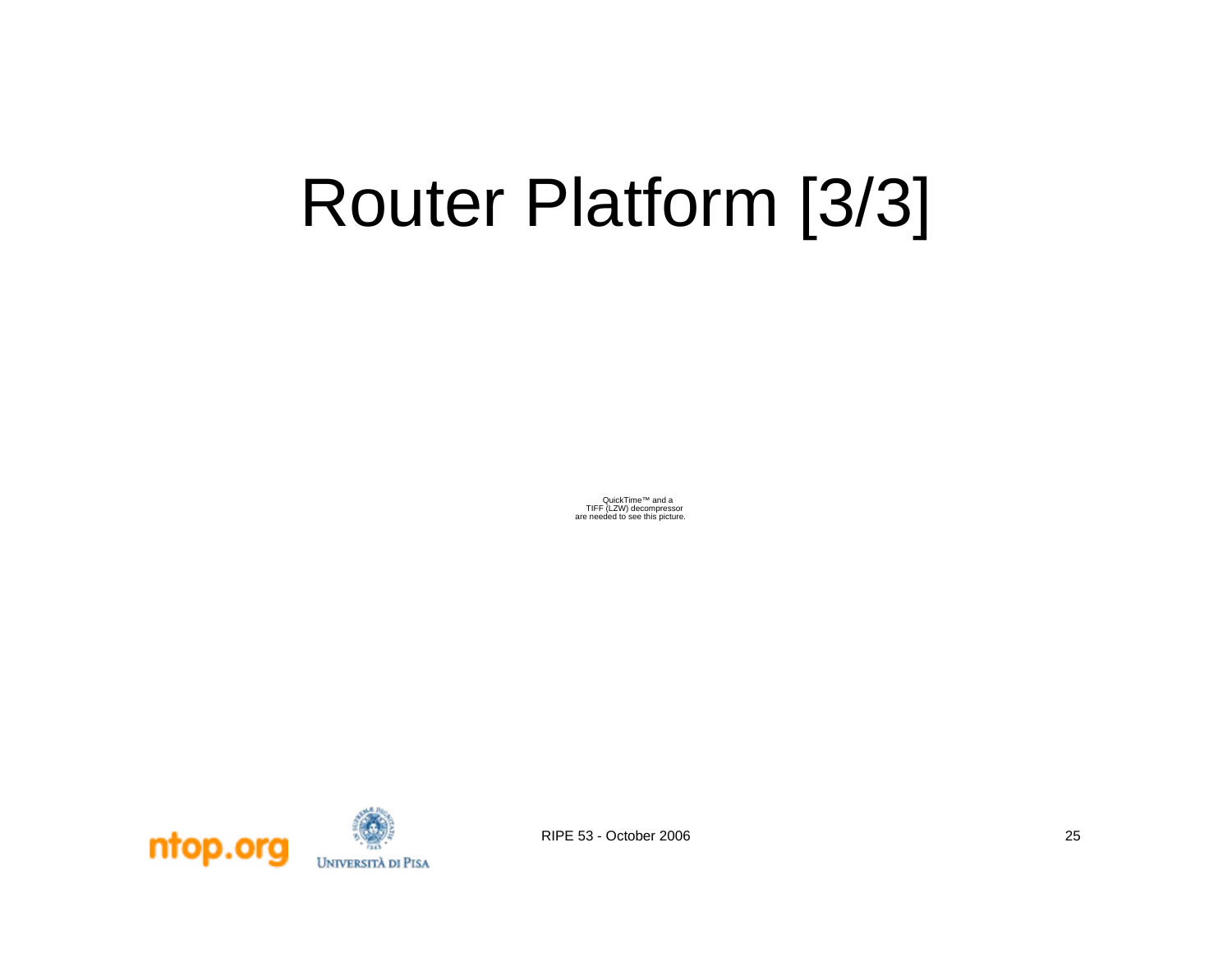#### Router Platform [3/3]

QuickTime™ and aTIFF (LZW) decompressor are needed to see this picture.